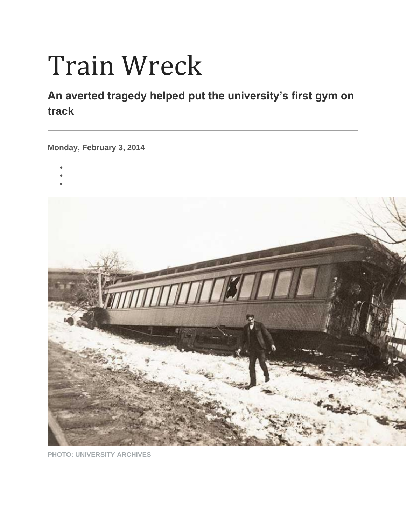## Train Wreck

## **An averted tragedy helped put the university's first gym on track**

**Monday, February 3, 2014**

- •
- •
- •



**PHOTO: UNIVERSITY ARCHIVES**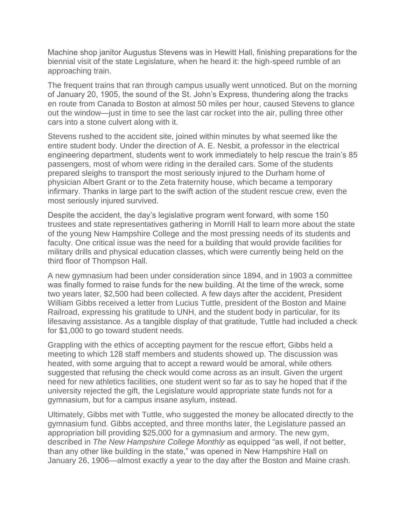Machine shop janitor Augustus Stevens was in Hewitt Hall, finishing preparations for the biennial visit of the state Legislature, when he heard it: the high-speed rumble of an approaching train.

The frequent trains that ran through campus usually went unnoticed. But on the morning of January 20, 1905, the sound of the St. John's Express, thundering along the tracks en route from Canada to Boston at almost 50 miles per hour, caused Stevens to glance out the window—just in time to see the last car rocket into the air, pulling three other cars into a stone culvert along with it.

Stevens rushed to the accident site, joined within minutes by what seemed like the entire student body. Under the direction of A. E. Nesbit, a professor in the electrical engineering department, students went to work immediately to help rescue the train's 85 passengers, most of whom were riding in the derailed cars. Some of the students prepared sleighs to transport the most seriously injured to the Durham home of physician Albert Grant or to the Zeta fraternity house, which became a temporary infirmary. Thanks in large part to the swift action of the student rescue crew, even the most seriously injured survived.

Despite the accident, the day's legislative program went forward, with some 150 trustees and state representatives gathering in Morrill Hall to learn more about the state of the young New Hampshire College and the most pressing needs of its students and faculty. One critical issue was the need for a building that would provide facilities for military drills and physical education classes, which were currently being held on the third floor of Thompson Hall.

A new gymnasium had been under consideration since 1894, and in 1903 a committee was finally formed to raise funds for the new building. At the time of the wreck, some two years later, \$2,500 had been collected. A few days after the accident, President William Gibbs received a letter from Lucius Tuttle, president of the Boston and Maine Railroad, expressing his gratitude to UNH, and the student body in particular, for its lifesaving assistance. As a tangible display of that gratitude, Tuttle had included a check for \$1,000 to go toward student needs.

Grappling with the ethics of accepting payment for the rescue effort, Gibbs held a meeting to which 128 staff members and students showed up. The discussion was heated, with some arguing that to accept a reward would be amoral, while others suggested that refusing the check would come across as an insult. Given the urgent need for new athletics facilities, one student went so far as to say he hoped that if the university rejected the gift, the Legislature would appropriate state funds not for a gymnasium, but for a campus insane asylum, instead.

Ultimately, Gibbs met with Tuttle, who suggested the money be allocated directly to the gymnasium fund. Gibbs accepted, and three months later, the Legislature passed an appropriation bill providing \$25,000 for a gymnasium and armory. The new gym, described in *The New Hampshire College Monthly* as equipped "as well, if not better, than any other like building in the state," was opened in New Hampshire Hall on January 26, 1906—almost exactly a year to the day after the Boston and Maine crash.